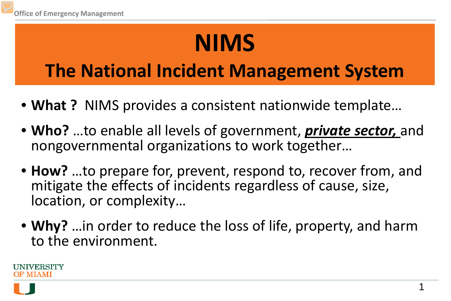# **NIMS**

### **The National Incident Management System**

- **What ?** NIMS provides a consistent nationwide template…
- **Who?** …to enable all levels of government, *private sector,* and nongovernmental organizations to work together…
- **How?** …to prepare for, prevent, respond to, recover from, and mitigate the effects of incidents regardless of cause, size, location, or complexity…
- **Why?** …in order to reduce the loss of life, property, and harm to the environment.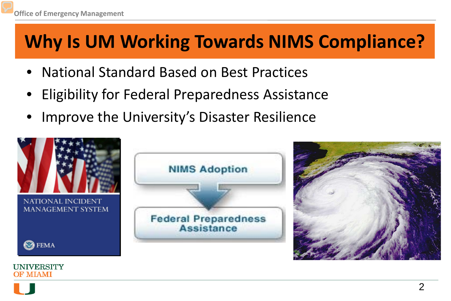## **Why Is UM Working Towards NIMS Compliance?**

- National Standard Based on Best Practices
- Eligibility for Federal Preparedness Assistance
- Improve the University's Disaster Resilience

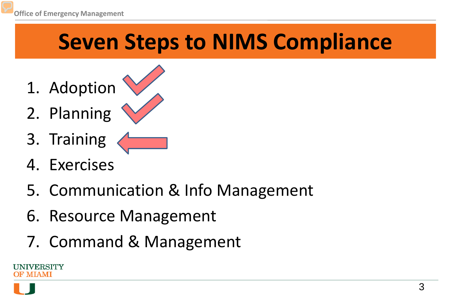## **Seven Steps to NIMS Compliance**

- 1. Adoption
- 2. Planning
- 3. Training
- 4. Exercises
- 5. Communication & Info Management
- 6. Resource Management
- 7. Command & Management

IVERSITY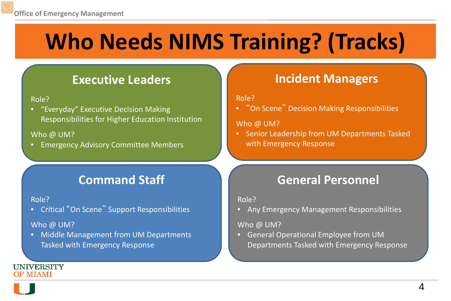# **Who Needs NIMS Training? (Tracks)**

### **Executive Leaders**

#### Role?

• "Everyday" Executive Decision Making Responsibilities for Higher Education Institution

#### Who @ UM?

• Emergency Advisory Committee Members

### **Command Staff**

#### Role?

• Critical "On Scene" Support Responsibilities

#### Who @ UM?

• Middle Management from UM Departments Tasked with Emergency Response

### **Incident Managers**

#### Role?

• "On Scene" Decision Making Responsibilities

#### Who @ UM?

• Senior Leadership from UM Departments Tasked with Emergency Response

### **General Personnel**

#### Role?

• Any Emergency Management Responsibilities

#### Who @ UM?

• General Operational Employee from UM Departments Tasked with Emergency Response

#### **UNIVERSITY OF MIAMI**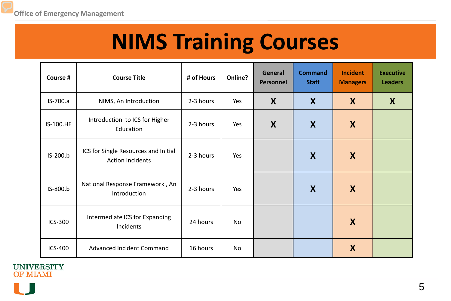## **NIMS Training Courses**

| Course #       | <b>Course Title</b>                                             | # of Hours | Online? | General<br>Personnel | <b>Command</b><br><b>Staff</b> | <b>Incident</b><br><b>Managers</b> | <b>Executive</b><br><b>Leaders</b> |
|----------------|-----------------------------------------------------------------|------------|---------|----------------------|--------------------------------|------------------------------------|------------------------------------|
| IS-700.a       | NIMS, An Introduction                                           | 2-3 hours  | Yes     | X                    | X                              | X                                  | X                                  |
| IS-100.HE      | Introduction to ICS for Higher<br>Education                     | 2-3 hours  | Yes     | X                    | X                              | X                                  |                                    |
| IS-200.b       | ICS for Single Resources and Initial<br><b>Action Incidents</b> | 2-3 hours  | Yes     |                      | X                              | X                                  |                                    |
| IS-800.b       | National Response Framework, An<br>Introduction                 | 2-3 hours  | Yes     |                      | X                              | X                                  |                                    |
| ICS-300        | Intermediate ICS for Expanding<br>Incidents                     | 24 hours   | No      |                      |                                | X                                  |                                    |
| <b>ICS-400</b> | Advanced Incident Command                                       | 16 hours   | No      |                      |                                | X                                  |                                    |